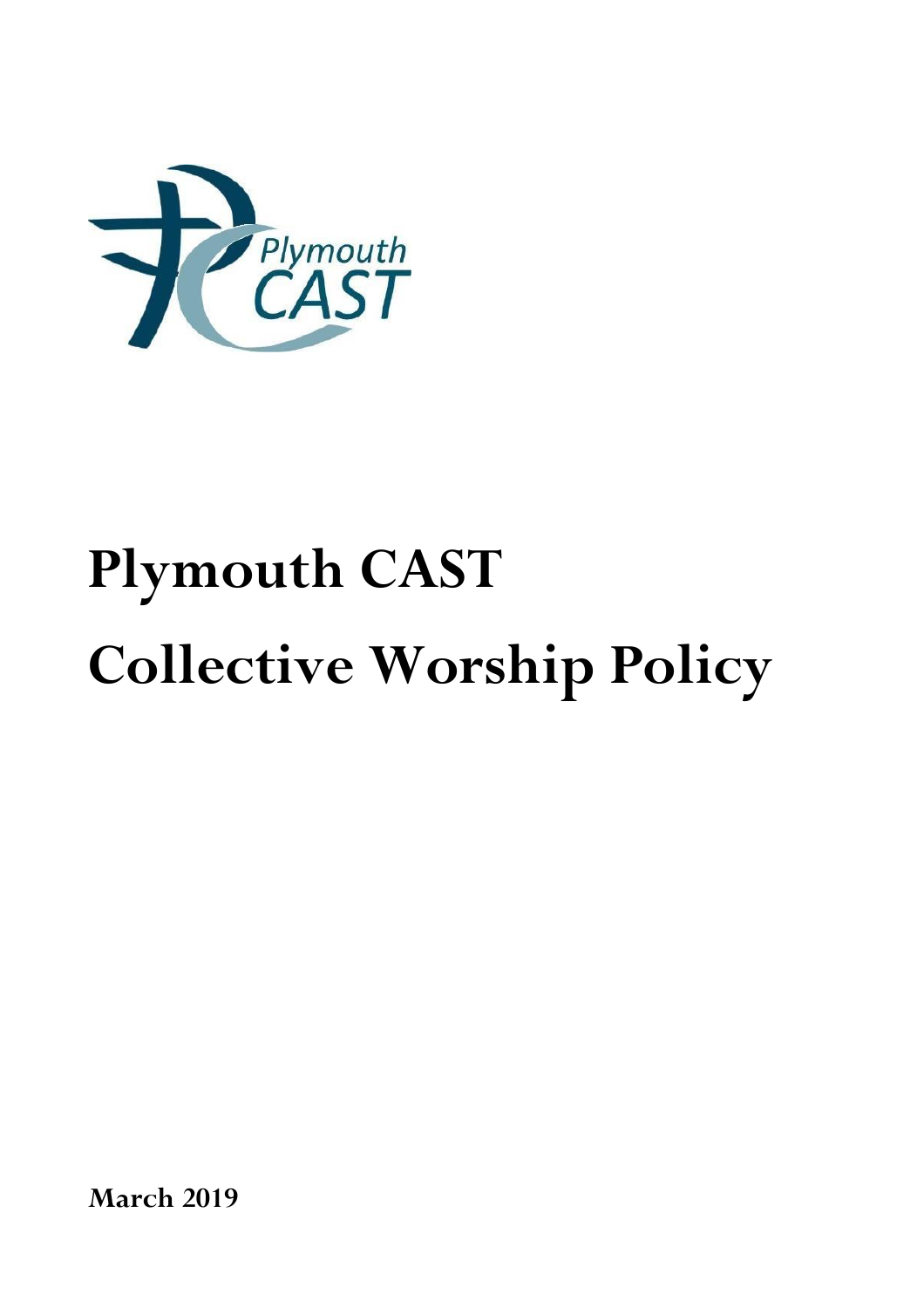

# **Plymouth CAST Collective Worship Policy**

**March 2019**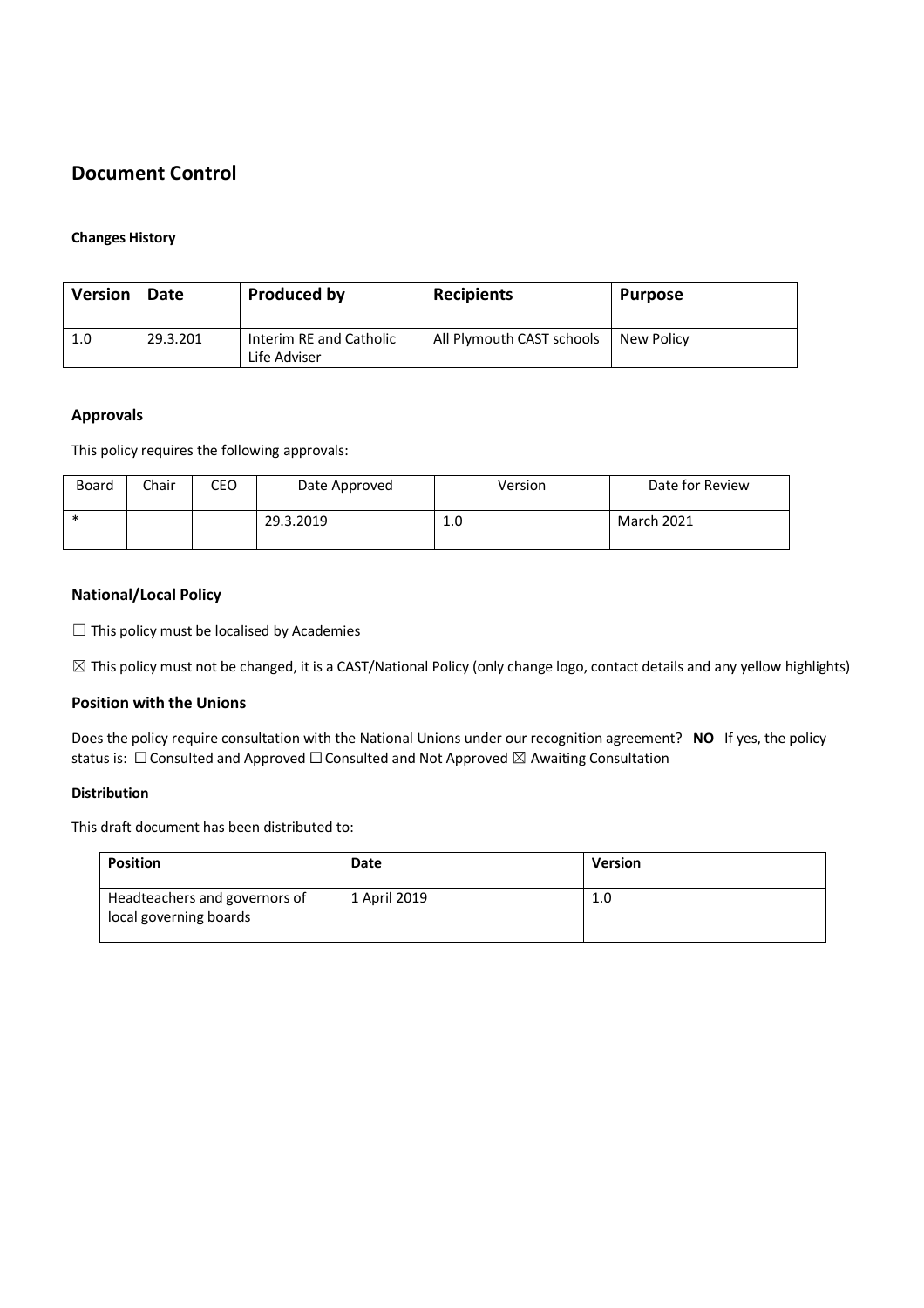# **Document Control**

#### **Changes History**

| <b>Version</b> | Date     | Produced by                             | <b>Recipients</b>         | <b>Purpose</b> |
|----------------|----------|-----------------------------------------|---------------------------|----------------|
| 1.0            | 29.3.201 | Interim RE and Catholic<br>Life Adviser | All Plymouth CAST schools | New Policy     |

#### **Approvals**

This policy requires the following approvals:

| Board | Chair | CEO | Date Approved | Version | Date for Review   |
|-------|-------|-----|---------------|---------|-------------------|
| ∗     |       |     | 29.3.2019     | 1.0     | <b>March 2021</b> |

#### **National/Local Policy**

 $\Box$  This policy must be localised by Academies

 $\boxtimes$  This policy must not be changed, it is a CAST/National Policy (only change logo, contact details and any yellow highlights)

#### **Position with the Unions**

Does the policy require consultation with the National Unions under our recognition agreement? **NO** If yes, the policy status is:  $\Box$  Consulted and Approved  $\Box$  Consulted and Not Approved  $\boxtimes$  Awaiting Consultation

#### **Distribution**

This draft document has been distributed to:

| <b>Position</b>                                         | Date         | <b>Version</b> |
|---------------------------------------------------------|--------------|----------------|
| Headteachers and governors of<br>local governing boards | 1 April 2019 | 1.0            |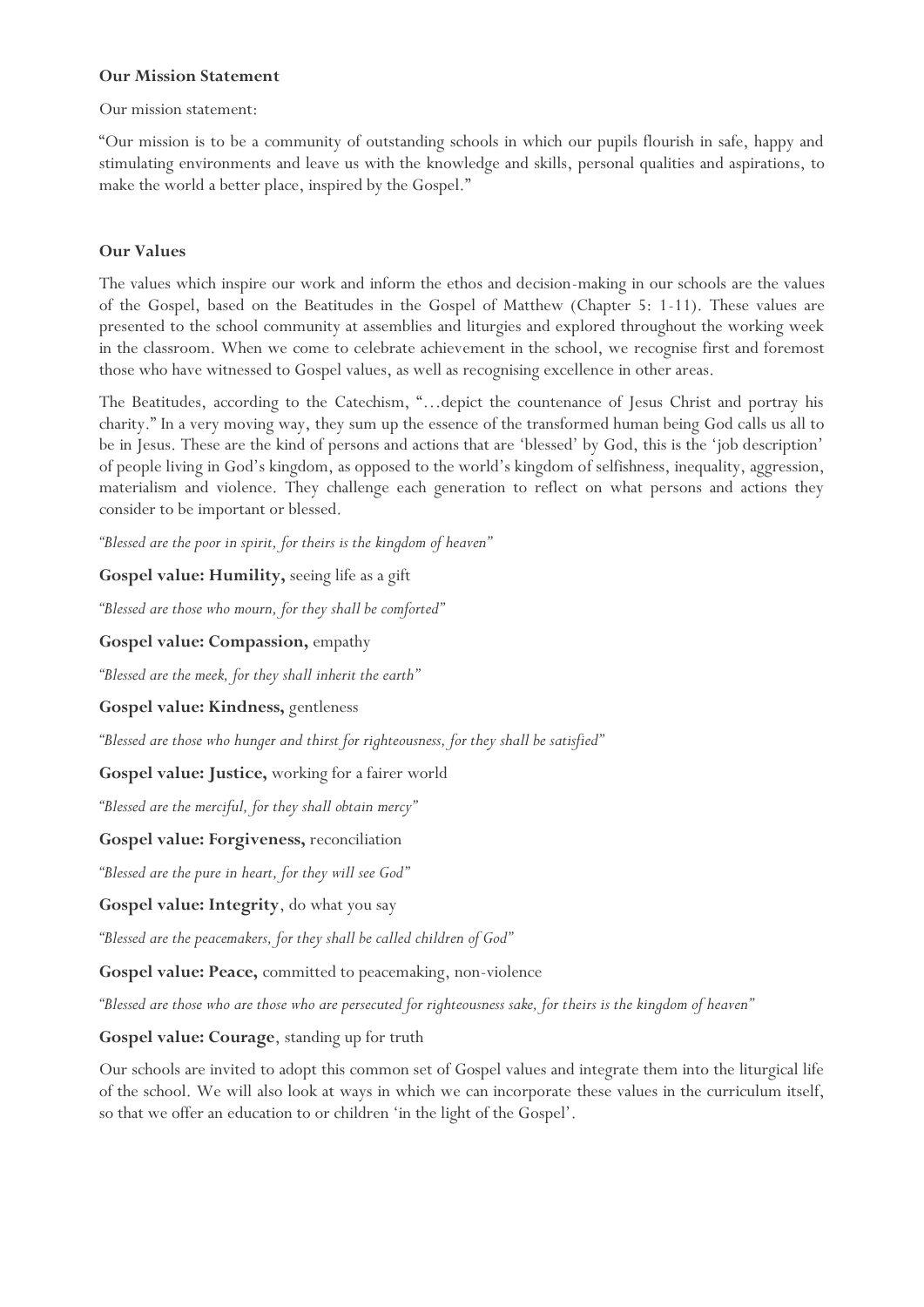#### **Our Mission Statement**

Our mission statement:

"Our mission is to be a community of outstanding schools in which our pupils flourish in safe, happy and stimulating environments and leave us with the knowledge and skills, personal qualities and aspirations, to make the world a better place, inspired by the Gospel."

#### **Our Values**

The values which inspire our work and inform the ethos and decision-making in our schools are the values of the Gospel, based on the Beatitudes in the Gospel of Matthew (Chapter 5: 1-11). These values are presented to the school community at assemblies and liturgies and explored throughout the working week in the classroom. When we come to celebrate achievement in the school, we recognise first and foremost those who have witnessed to Gospel values, as well as recognising excellence in other areas.

The Beatitudes, according to the Catechism, "…depict the countenance of Jesus Christ and portray his charity." In a very moving way, they sum up the essence of the transformed human being God calls us all to be in Jesus. These are the kind of persons and actions that are 'blessed' by God, this is the 'job description' of people living in God's kingdom, as opposed to the world's kingdom of selfishness, inequality, aggression, materialism and violence. They challenge each generation to reflect on what persons and actions they consider to be important or blessed.

*"Blessed are the poor in spirit, for theirs is the kingdom of heaven"*

**Gospel value: Humility,** seeing life as a gift

*"Blessed are those who mourn, for they shall be comforted"*

**Gospel value: Compassion,** empathy

*"Blessed are the meek, for they shall inherit the earth"*

#### **Gospel value: Kindness,** gentleness

*"Blessed are those who hunger and thirst for righteousness, for they shall be satisfied"*

**Gospel value: Justice,** working for a fairer world

*"Blessed are the merciful, for they shall obtain mercy"*

**Gospel value: Forgiveness,** reconciliation

*"Blessed are the pure in heart, for they will see God"*

**Gospel value: Integrity**, do what you say

*"Blessed are the peacemakers, for they shall be called children of God"*

**Gospel value: Peace,** committed to peacemaking, non-violence

*"Blessed are those who are those who are persecuted for righteousness sake, for theirs is the kingdom of heaven"*

#### **Gospel value: Courage**, standing up for truth

Our schools are invited to adopt this common set of Gospel values and integrate them into the liturgical life of the school. We will also look at ways in which we can incorporate these values in the curriculum itself, so that we offer an education to or children 'in the light of the Gospel'.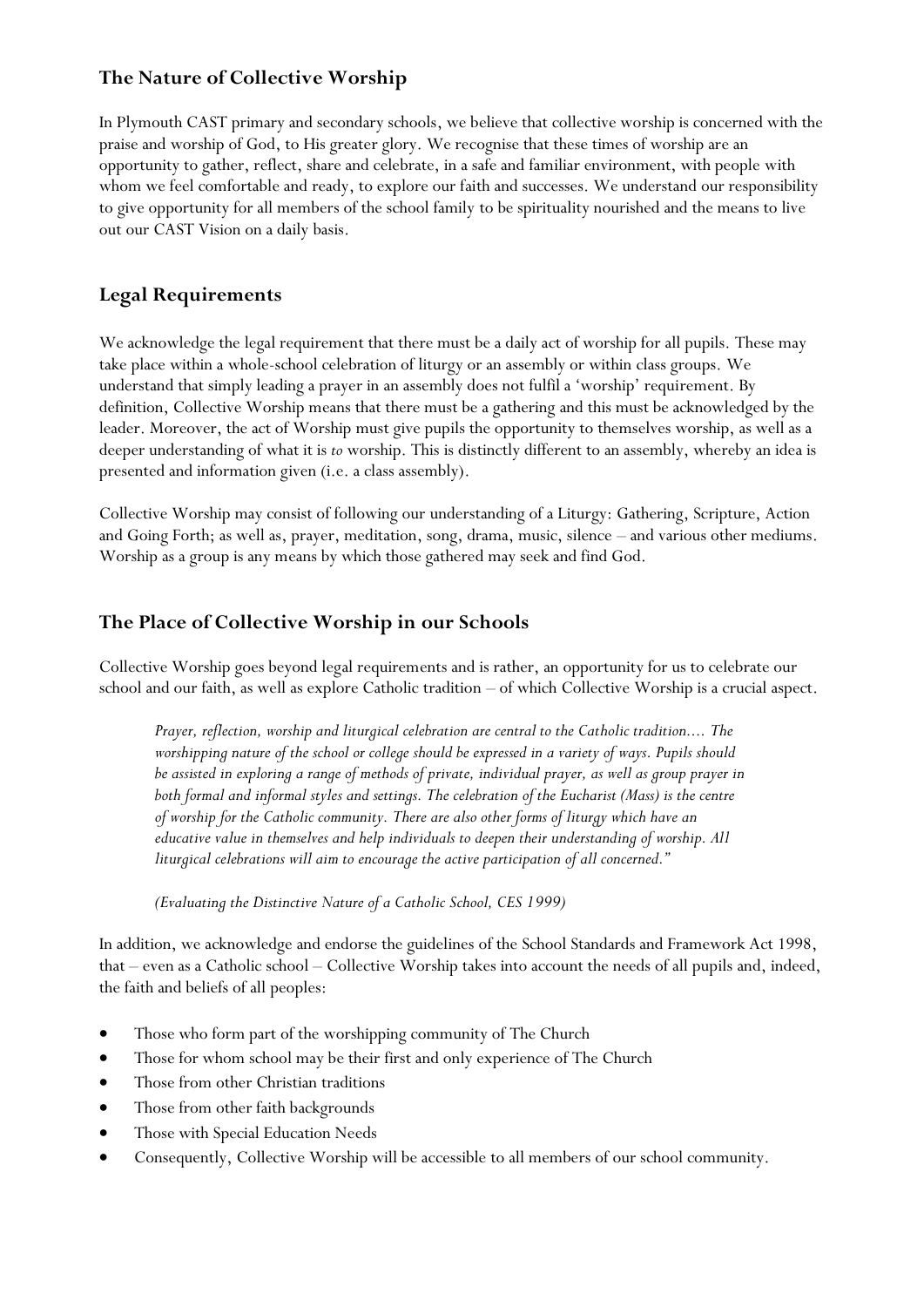## **The Nature of Collective Worship**

In Plymouth CAST primary and secondary schools, we believe that collective worship is concerned with the praise and worship of God, to His greater glory. We recognise that these times of worship are an opportunity to gather, reflect, share and celebrate, in a safe and familiar environment, with people with whom we feel comfortable and ready, to explore our faith and successes. We understand our responsibility to give opportunity for all members of the school family to be spirituality nourished and the means to live out our CAST Vision on a daily basis.

## **Legal Requirements**

We acknowledge the legal requirement that there must be a daily act of worship for all pupils. These may take place within a whole-school celebration of liturgy or an assembly or within class groups. We understand that simply leading a prayer in an assembly does not fulfil a 'worship' requirement. By definition, Collective Worship means that there must be a gathering and this must be acknowledged by the leader. Moreover, the act of Worship must give pupils the opportunity to themselves worship, as well as a deeper understanding of what it is *to* worship. This is distinctly different to an assembly, whereby an idea is presented and information given (i.e. a class assembly).

Collective Worship may consist of following our understanding of a Liturgy: Gathering, Scripture, Action and Going Forth; as well as, prayer, meditation, song, drama, music, silence – and various other mediums. Worship as a group is any means by which those gathered may seek and find God.

## **The Place of Collective Worship in our Schools**

Collective Worship goes beyond legal requirements and is rather, an opportunity for us to celebrate our school and our faith, as well as explore Catholic tradition – of which Collective Worship is a crucial aspect.

*Prayer, reflection, worship and liturgical celebration are central to the Catholic tradition.... The worshipping nature of the school or college should be expressed in a variety of ways. Pupils should be assisted in exploring a range of methods of private, individual prayer, as well as group prayer in both formal and informal styles and settings. The celebration of the Eucharist (Mass) is the centre of worship for the Catholic community. There are also other forms of liturgy which have an educative value in themselves and help individuals to deepen their understanding of worship. All liturgical celebrations will aim to encourage the active participation of all concerned."*

*(Evaluating the Distinctive Nature of a Catholic School, CES 1999)*

In addition, we acknowledge and endorse the guidelines of the School Standards and Framework Act 1998, that – even as a Catholic school – Collective Worship takes into account the needs of all pupils and, indeed, the faith and beliefs of all peoples:

- Those who form part of the worshipping community of The Church
- Those for whom school may be their first and only experience of The Church
- Those from other Christian traditions
- Those from other faith backgrounds
- Those with Special Education Needs
- Consequently, Collective Worship will be accessible to all members of our school community.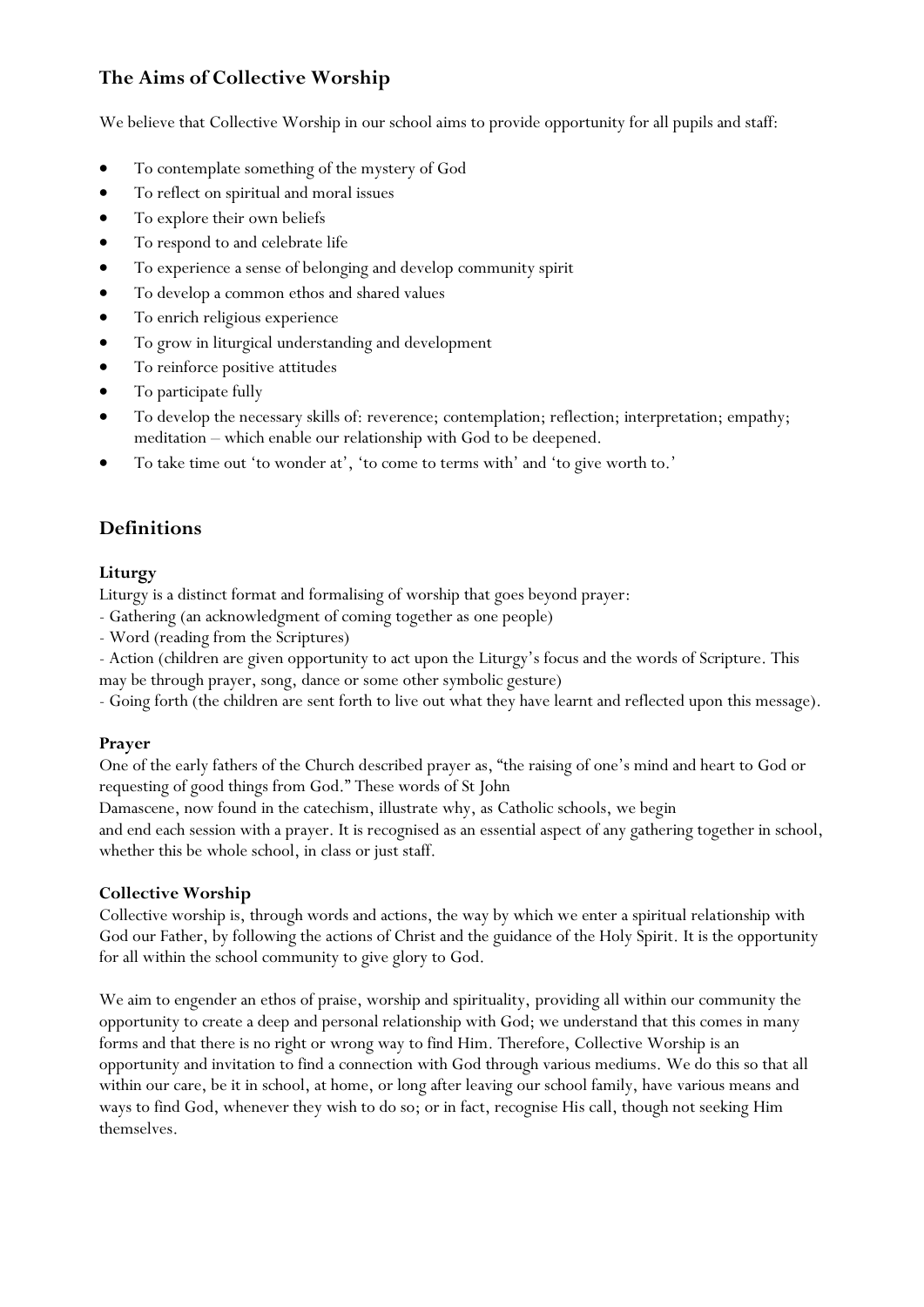## **The Aims of Collective Worship**

We believe that Collective Worship in our school aims to provide opportunity for all pupils and staff:

- To contemplate something of the mystery of God
- To reflect on spiritual and moral issues
- To explore their own beliefs
- To respond to and celebrate life
- To experience a sense of belonging and develop community spirit
- To develop a common ethos and shared values
- To enrich religious experience
- To grow in liturgical understanding and development
- To reinforce positive attitudes
- To participate fully
- To develop the necessary skills of: reverence; contemplation; reflection; interpretation; empathy; meditation – which enable our relationship with God to be deepened.
- To take time out 'to wonder at', 'to come to terms with' and 'to give worth to.'

## **Definitions**

#### **Liturgy**

Liturgy is a distinct format and formalising of worship that goes beyond prayer:

- Gathering (an acknowledgment of coming together as one people)
- Word (reading from the Scriptures)
- Action (children are given opportunity to act upon the Liturgy's focus and the words of Scripture. This
- may be through prayer, song, dance or some other symbolic gesture)
- Going forth (the children are sent forth to live out what they have learnt and reflected upon this message).

#### **Prayer**

One of the early fathers of the Church described prayer as, "the raising of one's mind and heart to God or requesting of good things from God." These words of St John

Damascene, now found in the catechism, illustrate why, as Catholic schools, we begin and end each session with a prayer. It is recognised as an essential aspect of any gathering together in school, whether this be whole school, in class or just staff.

#### **Collective Worship**

Collective worship is, through words and actions, the way by which we enter a spiritual relationship with God our Father, by following the actions of Christ and the guidance of the Holy Spirit. It is the opportunity for all within the school community to give glory to God.

We aim to engender an ethos of praise, worship and spirituality, providing all within our community the opportunity to create a deep and personal relationship with God; we understand that this comes in many forms and that there is no right or wrong way to find Him. Therefore, Collective Worship is an opportunity and invitation to find a connection with God through various mediums. We do this so that all within our care, be it in school, at home, or long after leaving our school family, have various means and ways to find God, whenever they wish to do so; or in fact, recognise His call, though not seeking Him themselves.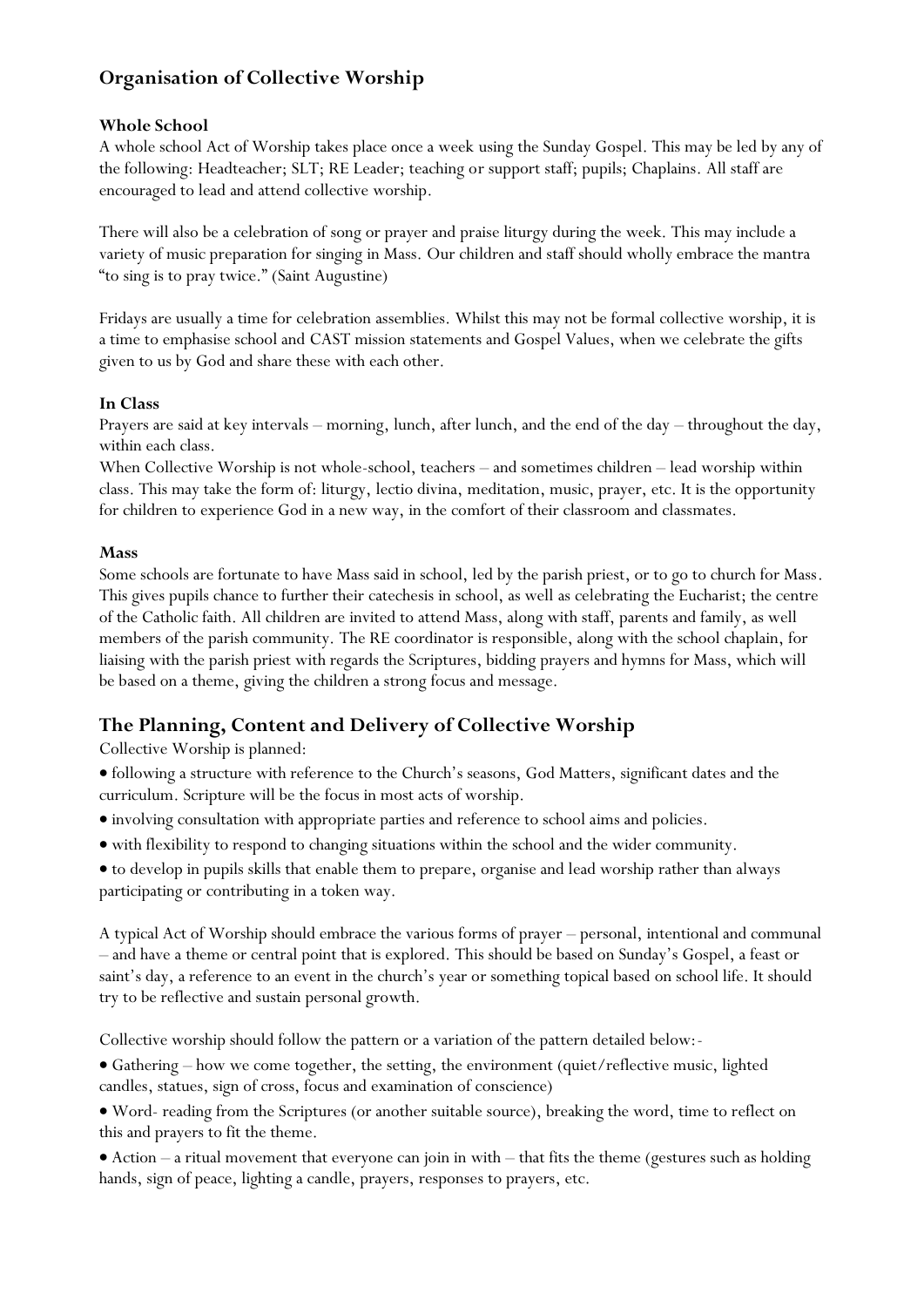# **Organisation of Collective Worship**

## **Whole School**

A whole school Act of Worship takes place once a week using the Sunday Gospel. This may be led by any of the following: Headteacher; SLT; RE Leader; teaching or support staff; pupils; Chaplains. All staff are encouraged to lead and attend collective worship.

There will also be a celebration of song or prayer and praise liturgy during the week. This may include a variety of music preparation for singing in Mass. Our children and staff should wholly embrace the mantra "to sing is to pray twice." (Saint Augustine)

Fridays are usually a time for celebration assemblies. Whilst this may not be formal collective worship, it is a time to emphasise school and CAST mission statements and Gospel Values, when we celebrate the gifts given to us by God and share these with each other.

### **In Class**

Prayers are said at key intervals – morning, lunch, after lunch, and the end of the day – throughout the day, within each class.

When Collective Worship is not whole-school, teachers – and sometimes children – lead worship within class. This may take the form of: liturgy, lectio divina, meditation, music, prayer, etc. It is the opportunity for children to experience God in a new way, in the comfort of their classroom and classmates.

#### **Mass**

Some schools are fortunate to have Mass said in school, led by the parish priest, or to go to church for Mass. This gives pupils chance to further their catechesis in school, as well as celebrating the Eucharist; the centre of the Catholic faith. All children are invited to attend Mass, along with staff, parents and family, as well members of the parish community. The RE coordinator is responsible, along with the school chaplain, for liaising with the parish priest with regards the Scriptures, bidding prayers and hymns for Mass, which will be based on a theme, giving the children a strong focus and message.

## **The Planning, Content and Delivery of Collective Worship**

Collective Worship is planned:

- following a structure with reference to the Church's seasons, God Matters, significant dates and the curriculum. Scripture will be the focus in most acts of worship.
- involving consultation with appropriate parties and reference to school aims and policies.
- with flexibility to respond to changing situations within the school and the wider community.
- to develop in pupils skills that enable them to prepare, organise and lead worship rather than always participating or contributing in a token way.

A typical Act of Worship should embrace the various forms of prayer – personal, intentional and communal – and have a theme or central point that is explored. This should be based on Sunday's Gospel, a feast or saint's day, a reference to an event in the church's year or something topical based on school life. It should try to be reflective and sustain personal growth.

Collective worship should follow the pattern or a variation of the pattern detailed below:-

 Gathering – how we come together, the setting, the environment (quiet/reflective music, lighted candles, statues, sign of cross, focus and examination of conscience)

 Word- reading from the Scriptures (or another suitable source), breaking the word, time to reflect on this and prayers to fit the theme.

 Action – a ritual movement that everyone can join in with – that fits the theme (gestures such as holding hands, sign of peace, lighting a candle, prayers, responses to prayers, etc.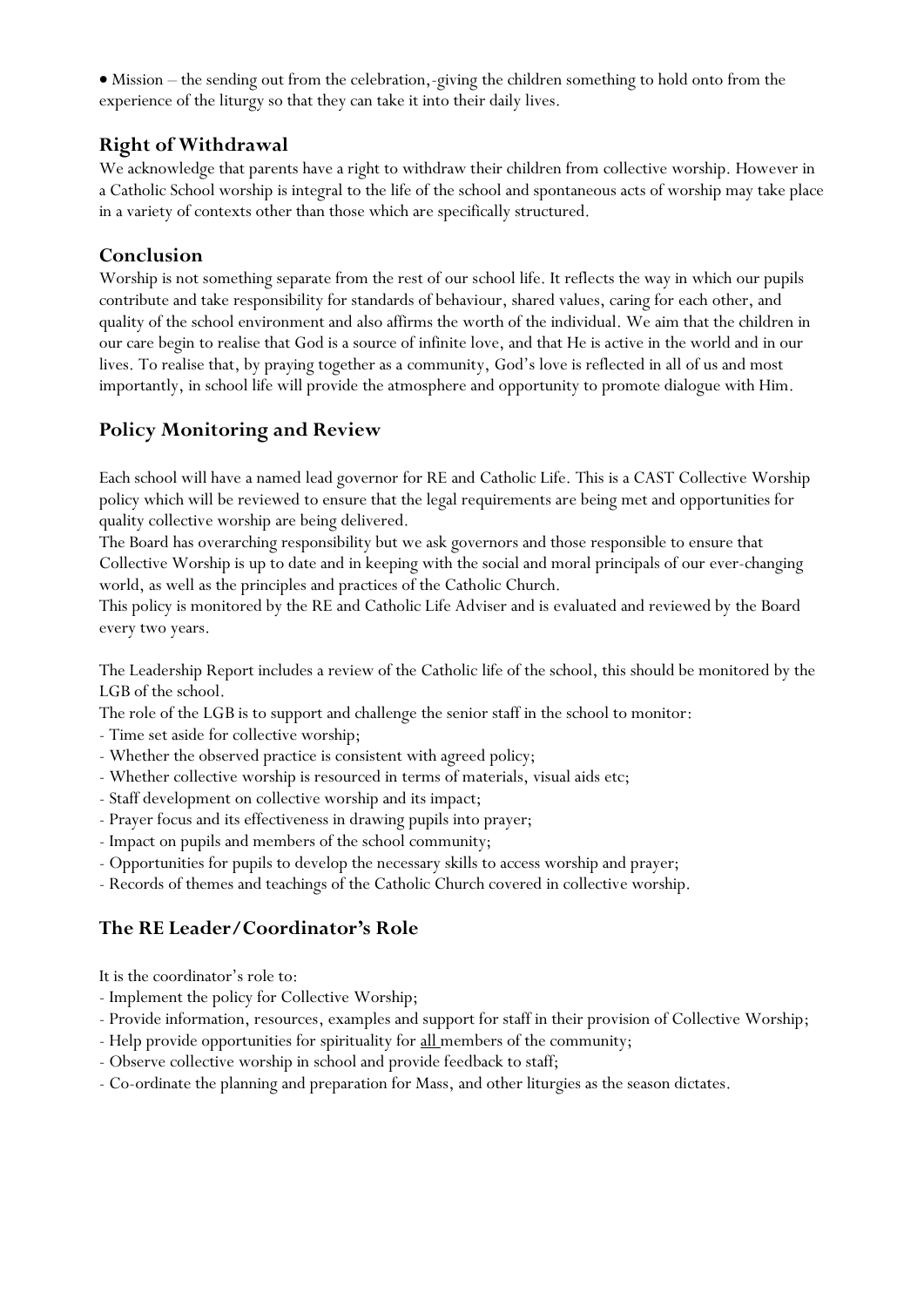Mission – the sending out from the celebration,-giving the children something to hold onto from the experience of the liturgy so that they can take it into their daily lives.

## **Right of Withdrawal**

We acknowledge that parents have a right to withdraw their children from collective worship. However in a Catholic School worship is integral to the life of the school and spontaneous acts of worship may take place in a variety of contexts other than those which are specifically structured.

## **Conclusion**

Worship is not something separate from the rest of our school life. It reflects the way in which our pupils contribute and take responsibility for standards of behaviour, shared values, caring for each other, and quality of the school environment and also affirms the worth of the individual. We aim that the children in our care begin to realise that God is a source of infinite love, and that He is active in the world and in our lives. To realise that, by praying together as a community, God's love is reflected in all of us and most importantly, in school life will provide the atmosphere and opportunity to promote dialogue with Him.

# **Policy Monitoring and Review**

Each school will have a named lead governor for RE and Catholic Life. This is a CAST Collective Worship policy which will be reviewed to ensure that the legal requirements are being met and opportunities for quality collective worship are being delivered.

The Board has overarching responsibility but we ask governors and those responsible to ensure that Collective Worship is up to date and in keeping with the social and moral principals of our ever-changing world, as well as the principles and practices of the Catholic Church.

This policy is monitored by the RE and Catholic Life Adviser and is evaluated and reviewed by the Board every two years.

The Leadership Report includes a review of the Catholic life of the school, this should be monitored by the LGB of the school.

The role of the LGB is to support and challenge the senior staff in the school to monitor:

- Time set aside for collective worship;
- Whether the observed practice is consistent with agreed policy;
- Whether collective worship is resourced in terms of materials, visual aids etc;
- Staff development on collective worship and its impact;
- Prayer focus and its effectiveness in drawing pupils into prayer;
- Impact on pupils and members of the school community;
- Opportunities for pupils to develop the necessary skills to access worship and prayer;
- Records of themes and teachings of the Catholic Church covered in collective worship.

# **The RE Leader/Coordinator's Role**

It is the coordinator's role to:

- Implement the policy for Collective Worship;
- Provide information, resources, examples and support for staff in their provision of Collective Worship;
- Help provide opportunities for spirituality for all members of the community;
- Observe collective worship in school and provide feedback to staff;
- Co-ordinate the planning and preparation for Mass, and other liturgies as the season dictates.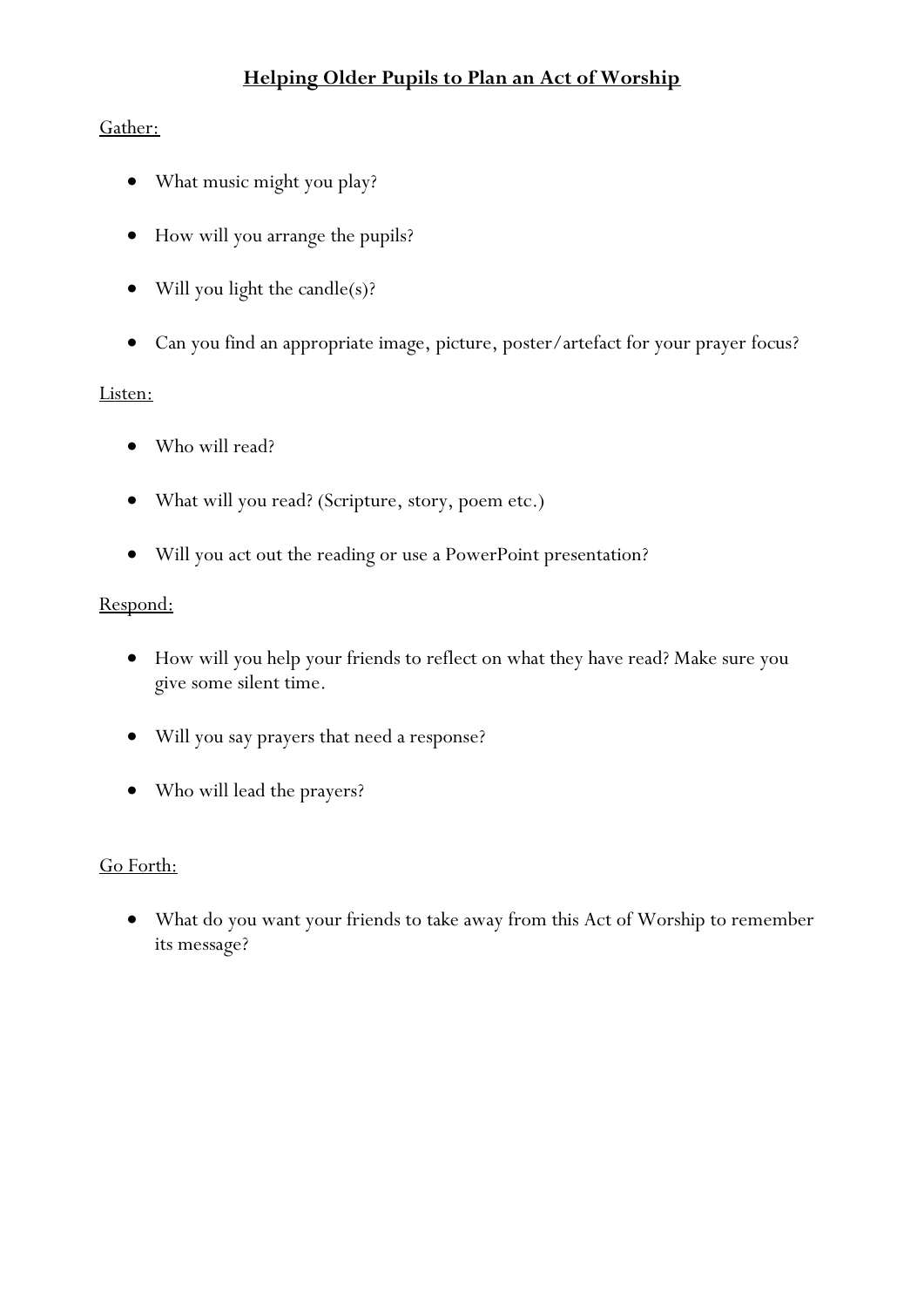# **Helping Older Pupils to Plan an Act of Worship**

# Gather:

- What music might you play?
- How will you arrange the pupils?
- Will you light the candle(s)?
- Can you find an appropriate image, picture, poster/artefact for your prayer focus?

## Listen:

- Who will read?
- What will you read? (Scripture, story, poem etc.)
- Will you act out the reading or use a PowerPoint presentation?

## Respond:

- How will you help your friends to reflect on what they have read? Make sure you give some silent time.
- Will you say prayers that need a response?
- Who will lead the prayers?

## Go Forth:

 What do you want your friends to take away from this Act of Worship to remember its message?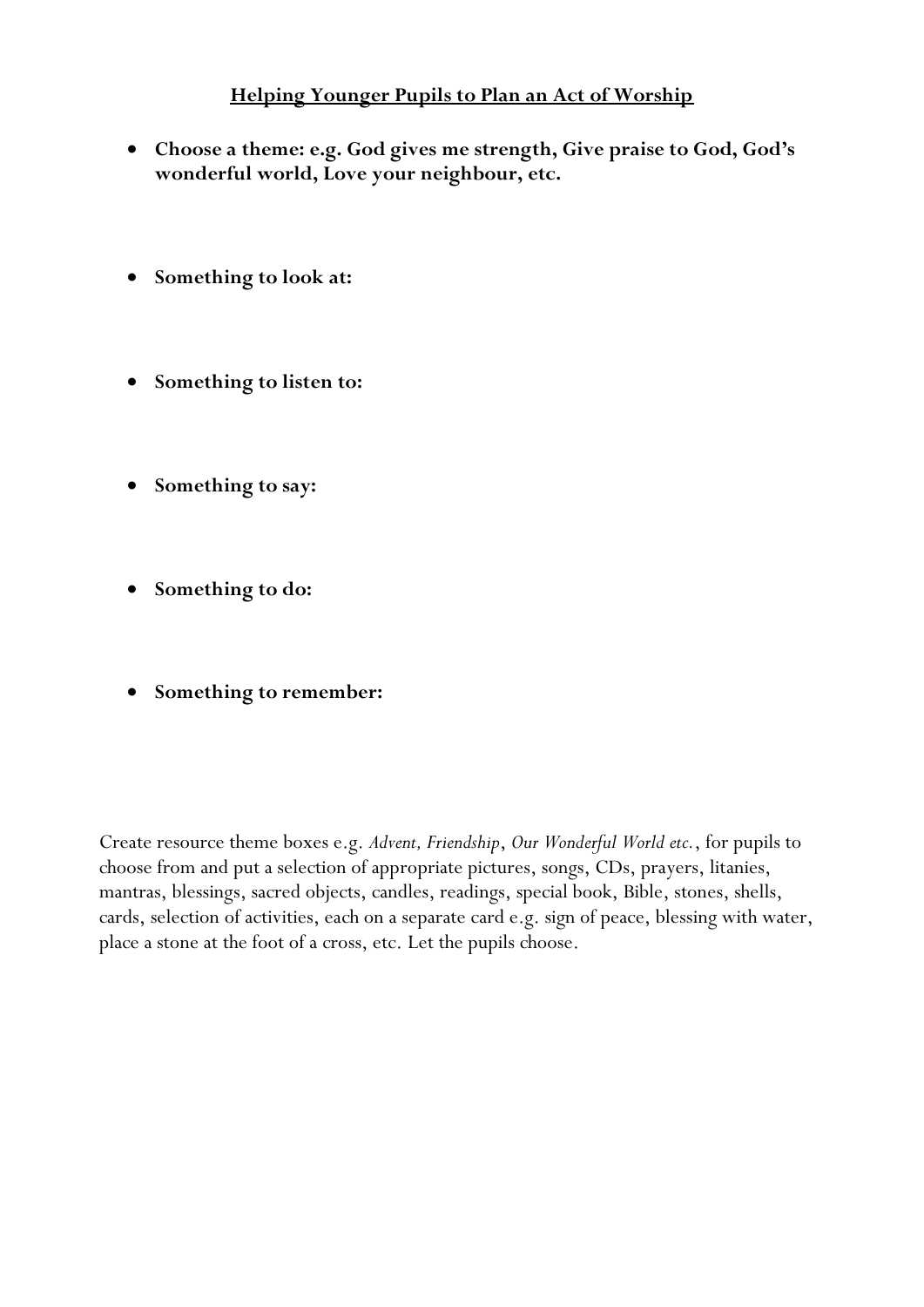# **Helping Younger Pupils to Plan an Act of Worship**

- **Choose a theme: e.g. God gives me strength, Give praise to God, God's wonderful world, Love your neighbour, etc.**
- Something to look at:
- **•** Something to listen to:
- **Something to say:**
- **Something to do:**
- **Something to remember:**

Create resource theme boxes e.g. *Advent, Friendship*, *Our Wonderful World etc.*, for pupils to choose from and put a selection of appropriate pictures, songs, CDs, prayers, litanies, mantras, blessings, sacred objects, candles, readings, special book, Bible, stones, shells, cards, selection of activities, each on a separate card e.g. sign of peace, blessing with water, place a stone at the foot of a cross, etc. Let the pupils choose.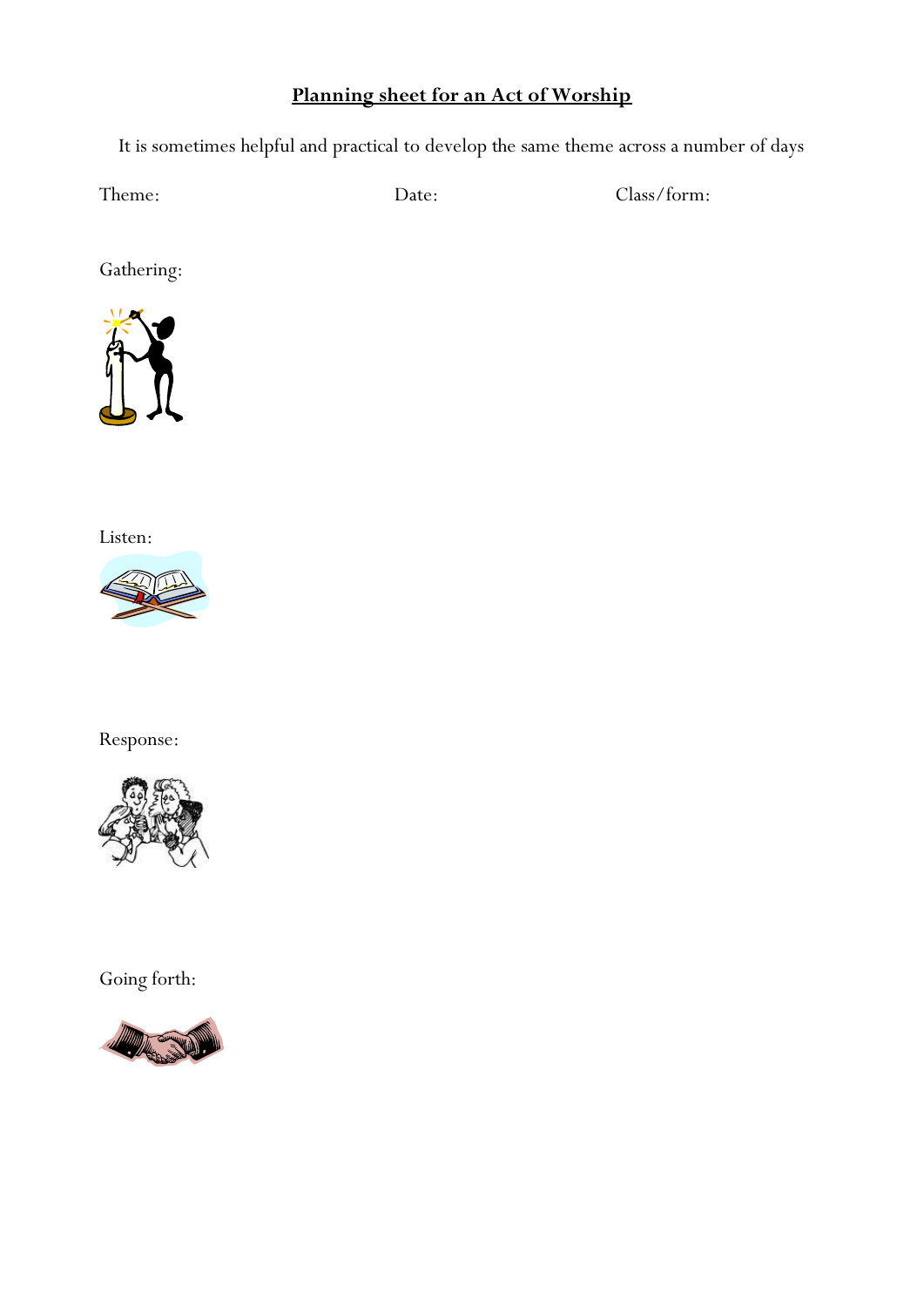# **Planning sheet for an Act of Worship**

It is sometimes helpful and practical to develop the same theme across a number of days

Theme: Date: Date: Class/form:

Gathering:



Listen:



Response:



Going forth:

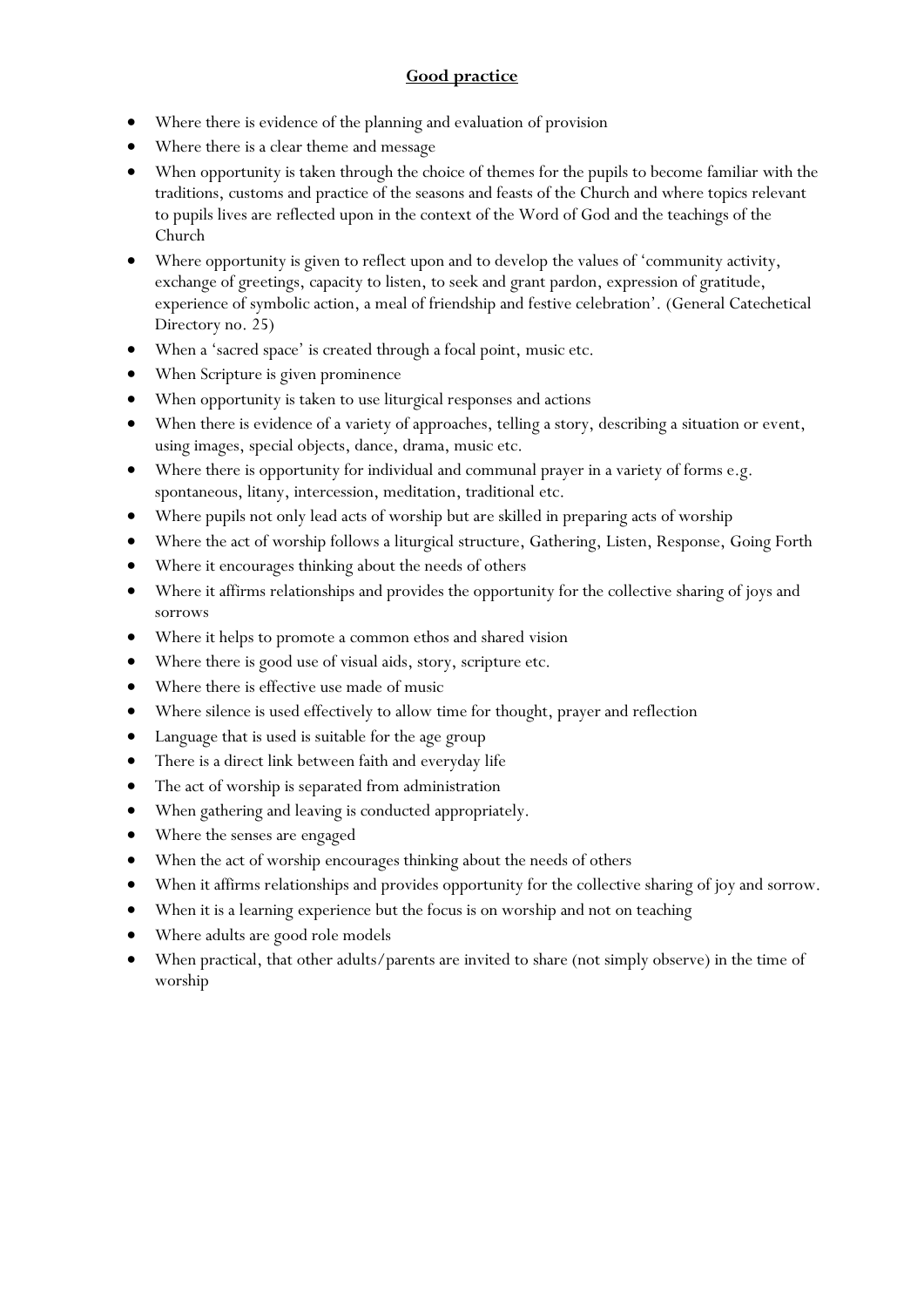## **Good practice**

- Where there is evidence of the planning and evaluation of provision
- Where there is a clear theme and message
- When opportunity is taken through the choice of themes for the pupils to become familiar with the traditions, customs and practice of the seasons and feasts of the Church and where topics relevant to pupils lives are reflected upon in the context of the Word of God and the teachings of the Church
- Where opportunity is given to reflect upon and to develop the values of 'community activity, exchange of greetings, capacity to listen, to seek and grant pardon, expression of gratitude, experience of symbolic action, a meal of friendship and festive celebration'. (General Catechetical Directory no. 25)
- When a 'sacred space' is created through a focal point, music etc.
- When Scripture is given prominence
- When opportunity is taken to use liturgical responses and actions
- When there is evidence of a variety of approaches, telling a story, describing a situation or event, using images, special objects, dance, drama, music etc.
- Where there is opportunity for individual and communal prayer in a variety of forms e.g. spontaneous, litany, intercession, meditation, traditional etc.
- Where pupils not only lead acts of worship but are skilled in preparing acts of worship
- Where the act of worship follows a liturgical structure, Gathering, Listen, Response, Going Forth
- Where it encourages thinking about the needs of others
- Where it affirms relationships and provides the opportunity for the collective sharing of joys and sorrows
- Where it helps to promote a common ethos and shared vision
- Where there is good use of visual aids, story, scripture etc.
- Where there is effective use made of music
- Where silence is used effectively to allow time for thought, prayer and reflection
- Language that is used is suitable for the age group
- There is a direct link between faith and everyday life
- The act of worship is separated from administration
- When gathering and leaving is conducted appropriately.
- Where the senses are engaged
- When the act of worship encourages thinking about the needs of others
- When it affirms relationships and provides opportunity for the collective sharing of joy and sorrow.
- When it is a learning experience but the focus is on worship and not on teaching
- Where adults are good role models
- When practical, that other adults/parents are invited to share (not simply observe) in the time of worship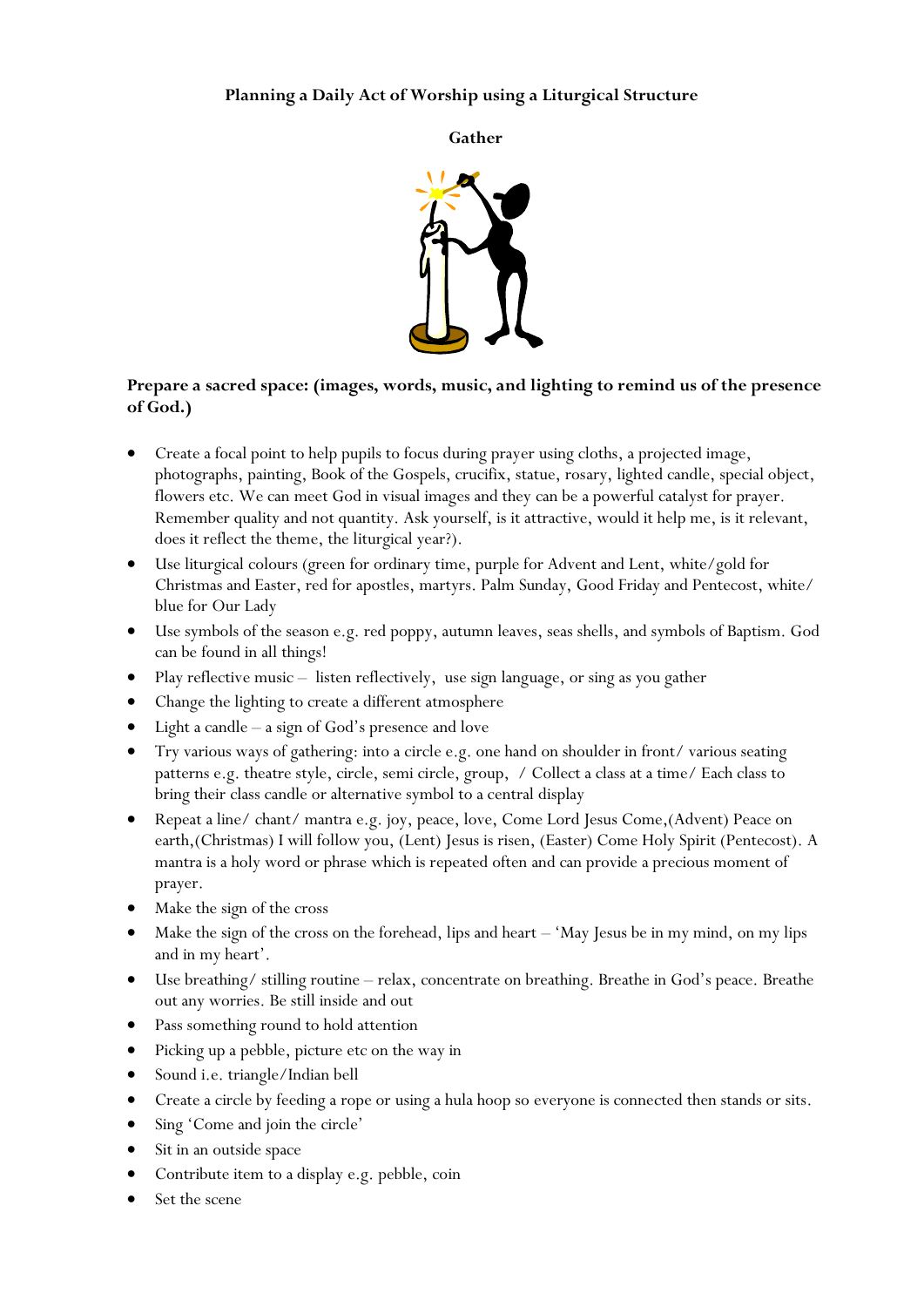#### **Planning a Daily Act of Worship using a Liturgical Structure**

**Gather**



#### **Prepare a sacred space: (images, words, music, and lighting to remind us of the presence of God.)**

- Create a focal point to help pupils to focus during prayer using cloths, a projected image, photographs, painting, Book of the Gospels, crucifix, statue, rosary, lighted candle, special object, flowers etc. We can meet God in visual images and they can be a powerful catalyst for prayer. Remember quality and not quantity. Ask yourself, is it attractive, would it help me, is it relevant, does it reflect the theme, the liturgical year?).
- Use liturgical colours (green for ordinary time, purple for Advent and Lent, white/gold for Christmas and Easter, red for apostles, martyrs. Palm Sunday, Good Friday and Pentecost, white/ blue for Our Lady
- Use symbols of the season e.g. red poppy, autumn leaves, seas shells, and symbols of Baptism. God can be found in all things!
- Play reflective music listen reflectively, use sign language, or sing as you gather
- Change the lighting to create a different atmosphere
- Light a candle a sign of God's presence and love
- Try various ways of gathering: into a circle e.g. one hand on shoulder in front/ various seating patterns e.g. theatre style, circle, semi circle, group, / Collect a class at a time/ Each class to bring their class candle or alternative symbol to a central display
- Repeat a line/ chant/ mantra e.g. joy, peace, love, Come Lord Jesus Come,(Advent) Peace on earth,(Christmas) I will follow you, (Lent) Jesus is risen, (Easter) Come Holy Spirit (Pentecost). A mantra is a holy word or phrase which is repeated often and can provide a precious moment of prayer.
- Make the sign of the cross
- Make the sign of the cross on the forehead, lips and heart 'May Jesus be in my mind, on my lips and in my heart'.
- Use breathing/ stilling routine relax, concentrate on breathing. Breathe in God's peace. Breathe out any worries. Be still inside and out
- Pass something round to hold attention
- Picking up a pebble, picture etc on the way in
- Sound i.e. triangle/Indian bell
- Create a circle by feeding a rope or using a hula hoop so everyone is connected then stands or sits.
- Sing 'Come and join the circle'
- Sit in an outside space
- Contribute item to a display e.g. pebble, coin
- Set the scene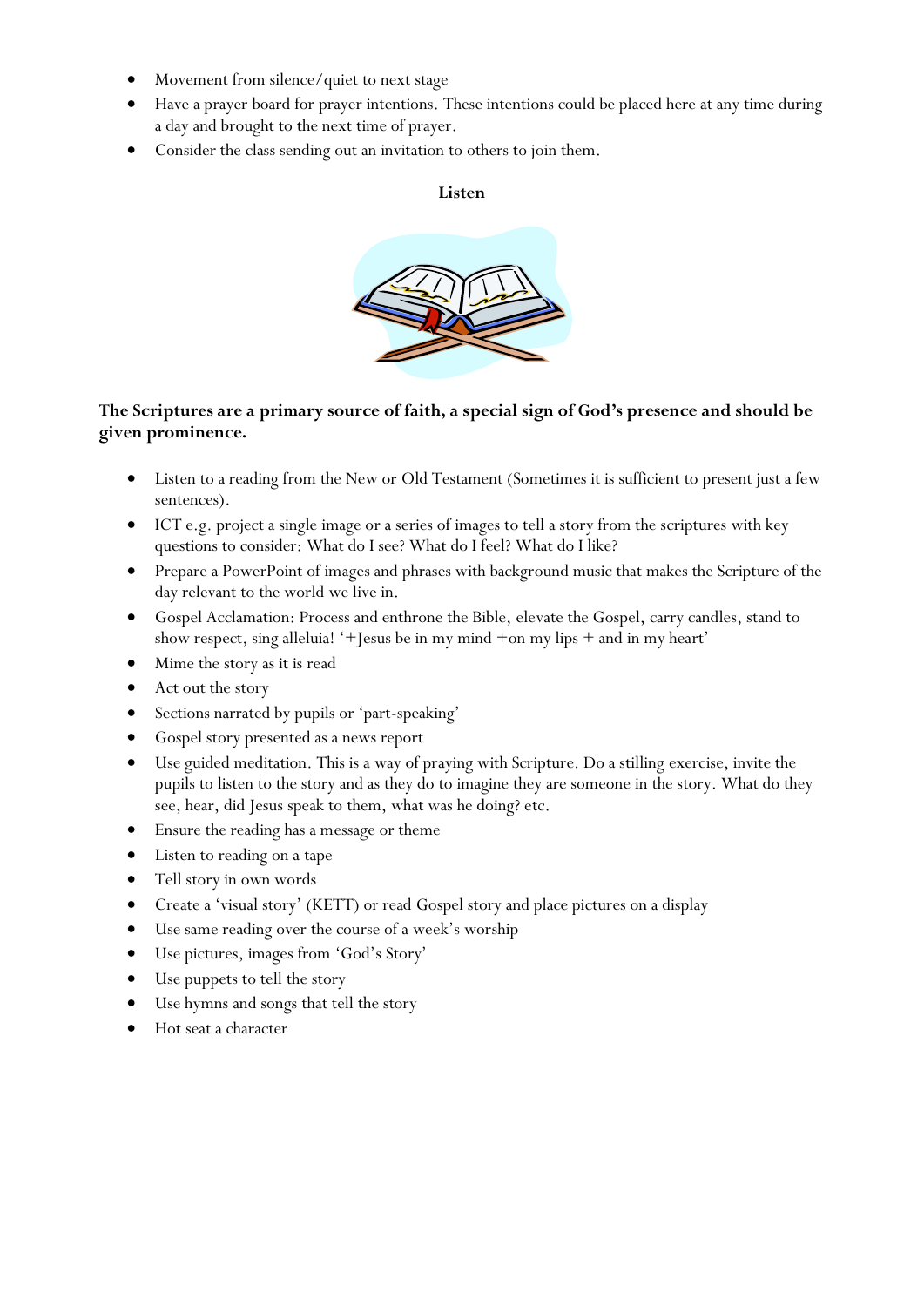- Movement from silence/quiet to next stage
- Have a prayer board for prayer intentions. These intentions could be placed here at any time during a day and brought to the next time of prayer.
- Consider the class sending out an invitation to others to join them.

#### **Listen**



## **The Scriptures are a primary source of faith, a special sign of God's presence and should be given prominence.**

- Listen to a reading from the New or Old Testament (Sometimes it is sufficient to present just a few sentences).
- ICT e.g. project a single image or a series of images to tell a story from the scriptures with key questions to consider: What do I see? What do I feel? What do I like?
- Prepare a PowerPoint of images and phrases with background music that makes the Scripture of the day relevant to the world we live in.
- Gospel Acclamation: Process and enthrone the Bible, elevate the Gospel, carry candles, stand to show respect, sing alleluia! '+Jesus be in my mind +on my lips + and in my heart'
- Mime the story as it is read
- Act out the story
- Sections narrated by pupils or 'part-speaking'
- Gospel story presented as a news report
- Use guided meditation. This is a way of praying with Scripture. Do a stilling exercise, invite the pupils to listen to the story and as they do to imagine they are someone in the story. What do they see, hear, did Jesus speak to them, what was he doing? etc.
- Ensure the reading has a message or theme
- Listen to reading on a tape
- Tell story in own words
- Create a 'visual story' (KETT) or read Gospel story and place pictures on a display
- Use same reading over the course of a week's worship
- Use pictures, images from 'God's Story'
- Use puppets to tell the story
- Use hymns and songs that tell the story
- Hot seat a character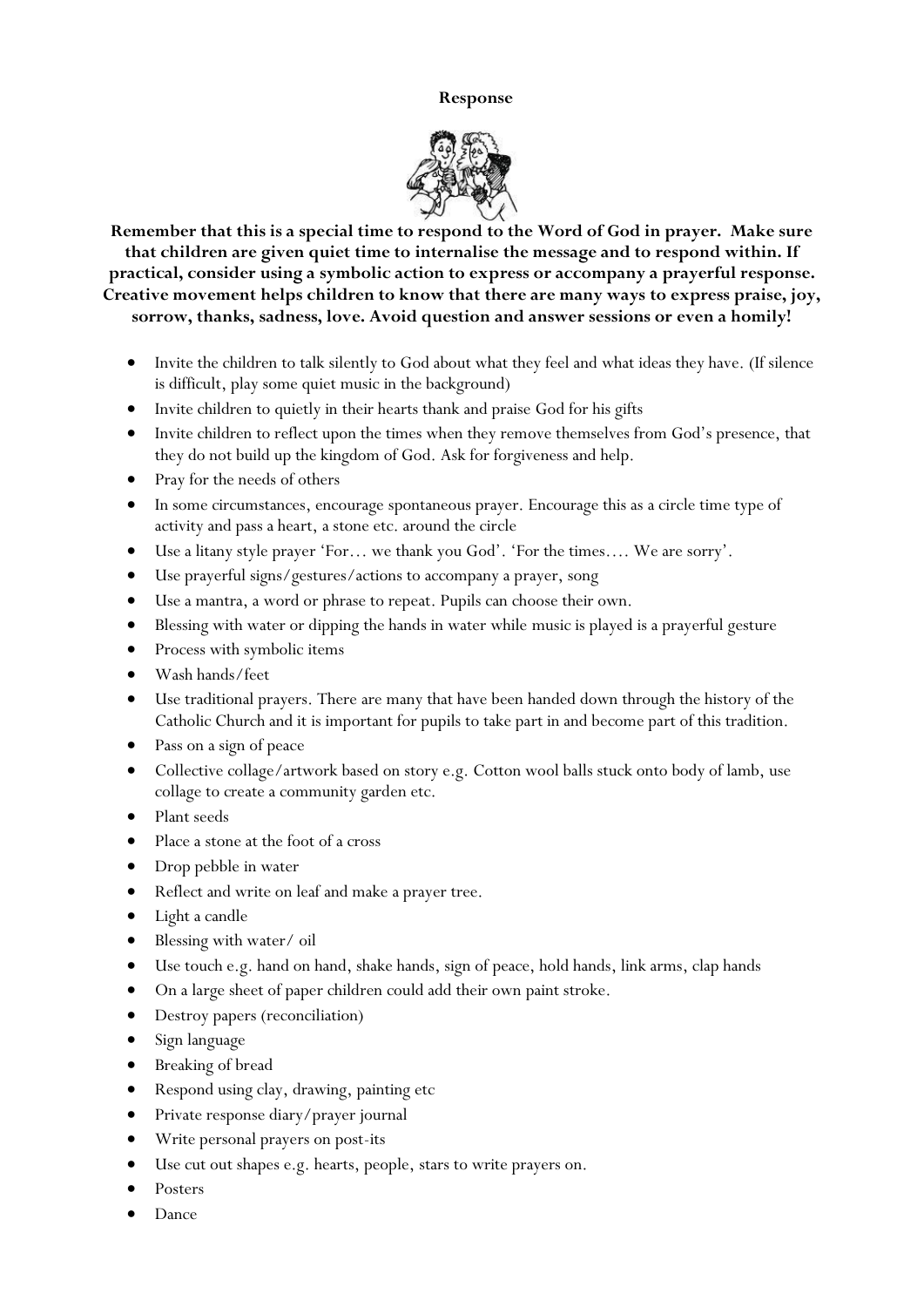#### **Response**



**Remember that this is a special time to respond to the Word of God in prayer. Make sure that children are given quiet time to internalise the message and to respond within. If practical, consider using a symbolic action to express or accompany a prayerful response. Creative movement helps children to know that there are many ways to express praise, joy, sorrow, thanks, sadness, love. Avoid question and answer sessions or even a homily!**

- Invite the children to talk silently to God about what they feel and what ideas they have. (If silence is difficult, play some quiet music in the background)
- Invite children to quietly in their hearts thank and praise God for his gifts
- Invite children to reflect upon the times when they remove themselves from God's presence, that they do not build up the kingdom of God. Ask for forgiveness and help.
- Pray for the needs of others
- In some circumstances, encourage spontaneous prayer. Encourage this as a circle time type of activity and pass a heart, a stone etc. around the circle
- Use a litany style prayer 'For… we thank you God'. 'For the times…. We are sorry'.
- Use prayerful signs/gestures/actions to accompany a prayer, song
- Use a mantra, a word or phrase to repeat. Pupils can choose their own.
- Blessing with water or dipping the hands in water while music is played is a prayerful gesture
- Process with symbolic items
- Wash hands/feet
- Use traditional prayers. There are many that have been handed down through the history of the Catholic Church and it is important for pupils to take part in and become part of this tradition.
- Pass on a sign of peace
- Collective collage/artwork based on story e.g. Cotton wool balls stuck onto body of lamb, use collage to create a community garden etc.
- Plant seeds
- Place a stone at the foot of a cross
- Drop pebble in water
- Reflect and write on leaf and make a prayer tree.
- Light a candle
- Blessing with water/ oil
- Use touch e.g. hand on hand, shake hands, sign of peace, hold hands, link arms, clap hands
- On a large sheet of paper children could add their own paint stroke.
- Destroy papers (reconciliation)
- Sign language
- Breaking of bread
- Respond using clay, drawing, painting etc
- Private response diary/prayer journal
- Write personal prayers on post-its
- Use cut out shapes e.g. hearts, people, stars to write prayers on.
- Posters
- Dance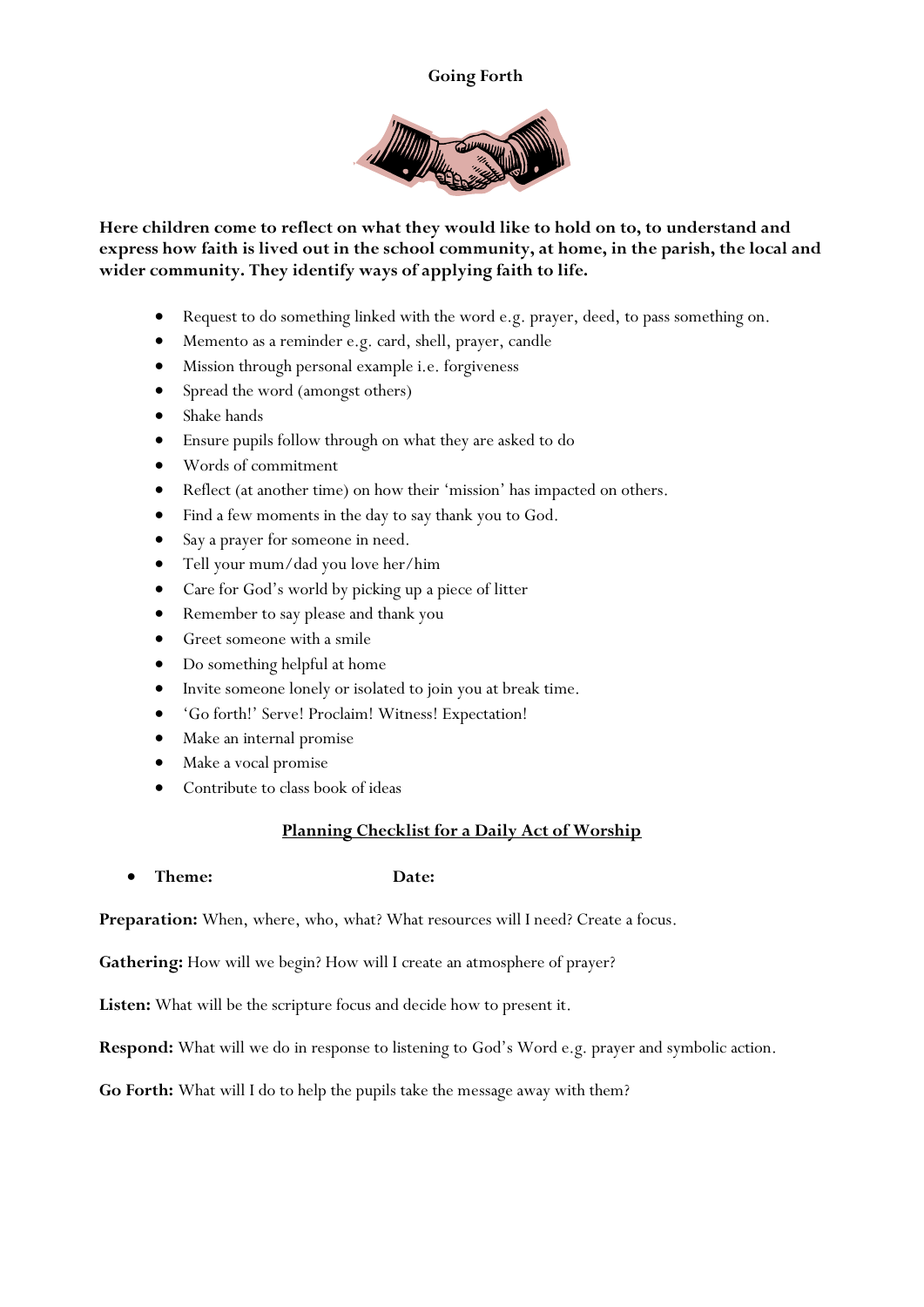#### **Going Forth**



**Here children come to reflect on what they would like to hold on to, to understand and express how faith is lived out in the school community, at home, in the parish, the local and wider community. They identify ways of applying faith to life.**

- Request to do something linked with the word e.g. prayer, deed, to pass something on.
- Memento as a reminder e.g. card, shell, prayer, candle
- Mission through personal example i.e. forgiveness
- Spread the word (amongst others)
- Shake hands
- Ensure pupils follow through on what they are asked to do
- Words of commitment
- Reflect (at another time) on how their 'mission' has impacted on others.
- Find a few moments in the day to say thank you to God.
- Say a prayer for someone in need.
- Tell your mum/dad you love her/him
- Care for God's world by picking up a piece of litter
- Remember to say please and thank you
- Greet someone with a smile
- Do something helpful at home
- Invite someone lonely or isolated to join you at break time.
- 'Go forth!' Serve! Proclaim! Witness! Expectation!
- Make an internal promise
- Make a vocal promise
- Contribute to class book of ideas

### **Planning Checklist for a Daily Act of Worship**

**Theme: Date:**

Preparation: When, where, who, what? What resources will I need? Create a focus.

Gathering: How will we begin? How will I create an atmosphere of prayer?

**Listen:** What will be the scripture focus and decide how to present it.

**Respond:** What will we do in response to listening to God's Word e.g. prayer and symbolic action.

**Go Forth:** What will I do to help the pupils take the message away with them?